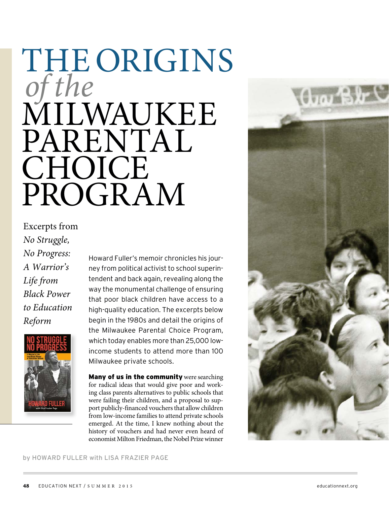# THE ORIGINS of the MILWAUKEE PARENTAL **CHOICE** PROGRAM

Excerpts from No Struggle, No Progress: A Warrior's Life from Black Power to Education Reform



Howard Fuller's memoir chronicles his journey from political activist to school superintendent and back again, revealing along the way the monumental challenge of ensuring that poor black children have access to a high-quality education. The excerpts below begin in the 1980s and detail the origins of the Milwaukee Parental Choice Program, which today enables more than 25,000 lowincome students to attend more than 100 Milwaukee private schools.

Many of us in the community were searching for radical ideas that would give poor and working class parents alternatives to public schools that were failing their children, and a proposal to support publicly-financed vouchers that allow children from low-income families to attend private schools emerged. At the time, I knew nothing about the history of vouchers and had never even heard of economist Milton Friedman, the Nobel Prize winner



### by HOWARD FULLER with LISA FRAZIER PAGE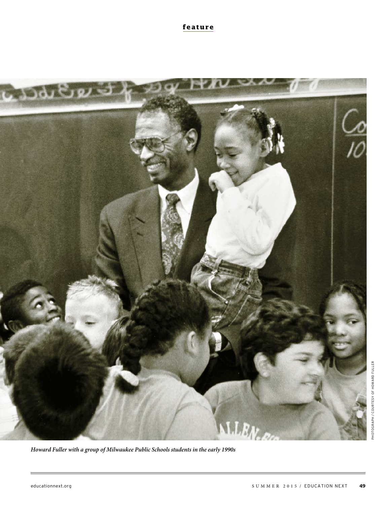**feature**



**Howard Fuller with a group of Milwaukee Public Schools students in the early 1990s**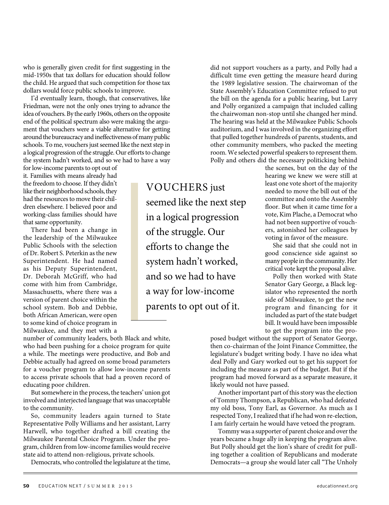who is generally given credit for first suggesting in the mid-1950s that tax dollars for education should follow the child. He argued that such competition for those tax dollars would force public schools to improve.

I'd eventually learn, though, that conservatives, like Friedman, were not the only ones trying to advance the idea of vouchers. By the early 1960s, others on the opposite end of the political spectrum also were making the argument that vouchers were a viable alternative for getting around the bureaucracy and ineffectiveness of many public schools. To me, vouchers just seemed like the next step in a logical progression of the struggle. Our efforts to change the system hadn't worked, and so we had to have a way

for low-income parents to opt out of it. Families with means already had the freedom to choose. If they didn't like their neighborhood schools, they had the resources to move their children elsewhere. I believed poor and working-class families should have that same opportunity.

There had been a change in the leadership of the Milwaukee Public Schools with the selection of Dr. Robert S. Peterkin as the new Superintendent. He had named as his Deputy Superintendent, Dr. Deborah McGriff, who had come with him from Cambridge, Massachusetts, where there was a version of parent choice within the school system. Bob and Debbie, both African American, were open to some kind of choice program in Milwaukee, and they met with a

VOUCHERS just seemed like the next step in a logical progression of the struggle. Our efforts to change the system hadn't worked, and so we had to have a way for low-income parents to opt out of it.

did not support vouchers as a party, and Polly had a difficult time even getting the measure heard during the 1989 legislative session. The chairwoman of the State Assembly's Education Committee refused to put the bill on the agenda for a public hearing, but Larry and Polly organized a campaign that included calling the chairwoman non-stop until she changed her mind. The hearing was held at the Milwaukee Public Schools auditorium, and I was involved in the organizing effort that pulled together hundreds of parents, students, and other community members, who packed the meeting room. We selected powerful speakers to represent them. Polly and others did the necessary politicking behind

the scenes, but on the day of the hearing we knew we were still at least one vote short of the majority needed to move the bill out of the committee and onto the Assembly floor. But when it came time for a vote, Kim Plache, a Democrat who had not been supportive of vouchers, astonished her colleagues by voting in favor of the measure.

She said that she could not in good conscience side against so many people in the community. Her critical vote kept the proposal alive.

Polly then worked with State Senator Gary George, a Black legislator who represented the north side of Milwaukee, to get the new program and financing for it included as part of the state budget bill. It would have been impossible to get the program into the pro-

number of community leaders, both Black and white, who had been pushing for a choice program for quite a while. The meetings were productive, and Bob and Debbie actually had agreed on some broad parameters for a voucher program to allow low-income parents to access private schools that had a proven record of educating poor children.

But somewhere in the process, the teachers' union got involved and interjected language that was unacceptable to the community.

So, community leaders again turned to State Representative Polly Williams and her assistant, Larry Harwell, who together drafted a bill creating the Milwaukee Parental Choice Program. Under the program, children from low-income families would receive state aid to attend non-religious, private schools.

Democrats, who controlled the legislature at the time,

posed budget without the support of Senator George, then co-chairman of the Joint Finance Committee, the legislature's budget writing body. I have no idea what deal Polly and Gary worked out to get his support for including the measure as part of the budget. But if the program had moved forward as a separate measure, it likely would not have passed.

Another important part of this story was the election of Tommy Thompson, a Republican, who had defeated my old boss, Tony Earl, as Governor. As much as I respected Tony, I realized that if he had won re-election, I am fairly certain he would have vetoed the program.

Tommy was a supporter of parent choice and over the years became a huge ally in keeping the program alive. But Polly should get the lion's share of credit for pulling together a coalition of Republicans and moderate Democrats—a group she would later call "The Unholy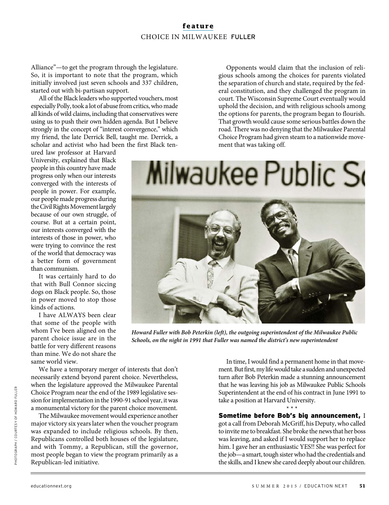## **feature** CHOICE IN MILWAUKEE FULLER

Alliance"—to get the program through the legislature. So, it is important to note that the program, which initially involved just seven schools and 337 children, started out with bi-partisan support.

All of the Black leaders who supported vouchers, most especially Polly, took a lot of abuse from critics, who made all kinds of wild claims, including that conservatives were using us to push their own hidden agenda. But I believe strongly in the concept of "interest convergence," which my friend, the late Derrick Bell, taught me. Derrick, a scholar and activist who had been the first Black ten-

ured law professor at Harvard University, explained that Black people in this country have made progress only when our interests converged with the interests of people in power. For example, our people made progress during the Civil Rights Movement largely because of our own struggle, of course. But at a certain point, our interests converged with the interests of those in power, who were trying to convince the rest of the world that democracy was a better form of government than communism.

It was certainly hard to do that with Bull Connor siccing dogs on Black people. So, those in power moved to stop those kinds of actions.

I have ALWAYS been clear that some of the people with whom I've been aligned on the parent choice issue are in the battle for very different reasons than mine. We do not share the same world view.

We have a temporary merger of interests that don't necessarily extend beyond parent choice. Nevertheless, when the legislature approved the Milwaukee Parental Choice Program near the end of the 1989 legislative session for implementation in the 1990-91 school year, it was a monumental victory for the parent choice movement.

The Milwaukee movement would experience another major victory six years later when the voucher program was expanded to include religious schools. By then, Republicans controlled both houses of the legislature, and with Tommy, a Republican, still the governor, most people began to view the program primarily as a Republican-led initiative.

Opponents would claim that the inclusion of religious schools among the choices for parents violated the separation of church and state, required by the federal constitution, and they challenged the program in court. The Wisconsin Supreme Court eventually would uphold the decision, and with religious schools among the options for parents, the program began to flourish. That growth would cause some serious battles down the road. There was no denying that the Milwaukee Parental Choice Program had given steam to a nationwide movement that was taking off.

Milwaukee Public So

**Howard Fuller with Bob Peterkin (left), the outgoing superintendent of the Milwaukee Public Schools, on the night in 1991 that Fuller was named the district's new superintendent**

In time, I would find a permanent home in that movement. But first, my life would take a sudden and unexpected turn after Bob Peterkin made a stunning announcement that he was leaving his job as Milwaukee Public Schools Superintendent at the end of his contract in June 1991 to take a position at Harvard University.

#### \* \* \* Sometime before Bob's big announcement, I

got a call from Deborah McGriff, his Deputy, who called to invite me to breakfast. She broke the news that her boss was leaving, and asked if I would support her to replace him. I gave her an enthusiastic YES!! She was perfect for the job—a smart, tough sister who had the credentials and the skills, and I knew she cared deeply about our children.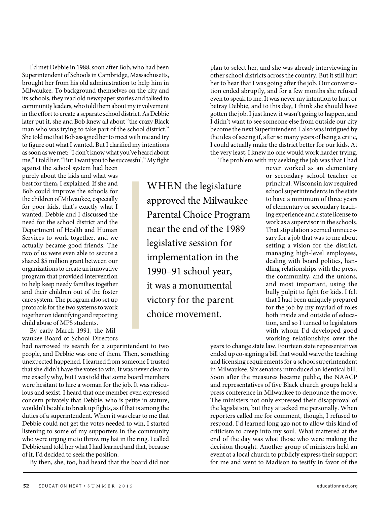I'd met Debbie in 1988, soon after Bob, who had been Superintendent of Schools in Cambridge, Massachusetts, brought her from his old administration to help him in Milwaukee. To background themselves on the city and its schools, they read old newspaper stories and talked to community leaders, who told them about my involvement in the effort to create a separate school district. As Debbie later put it, she and Bob knew all about "the crazy Black man who was trying to take part of the school district." She told me that Bob assigned her to meet with me and try to figure out what I wanted. But I clarified my intentions as soon as we met: "I don't know what you've heard about me," I told her. "But I want you to be successful." My fight

against the school system had been purely about the kids and what was best for them, I explained. If she and Bob could improve the schools for the children of Milwaukee, especially for poor kids, that's exactly what I wanted. Debbie and I discussed the need for the school district and the Department of Health and Human Services to work together, and we actually became good friends. The two of us were even able to secure a shared \$5 million grant between our organizations to create an innovative program that provided intervention to help keep needy families together and their children out of the foster care system. The program also set up protocols for the two systems to work together on identifying and reporting child abuse of MPS students.

By early March 1991, the Milwaukee Board of School Directors

had narrowed its search for a superintendent to two people, and Debbie was one of them. Then, something unexpected happened. I learned from someone I trusted that she didn't have the votes to win. It was never clear to me exactly why, but I was told that some board members were hesitant to hire a woman for the job. It was ridiculous and sexist. I heard that one member even expressed concern privately that Debbie, who is petite in stature, wouldn't be able to break up fights, as if that is among the duties of a superintendent. When it was clear to me that Debbie could not get the votes needed to win, I started listening to some of my supporters in the community who were urging me to throw my hat in the ring. I called Debbie and told her what I had learned and that, because of it, I'd decided to seek the position.

By then, she, too, had heard that the board did not

WHEN the legislature approved the Milwaukee Parental Choice Program near the end of the 1989 legislative session for implementation in the 1990–91 school year, it was a monumental victory for the parent choice movement.

plan to select her, and she was already interviewing in other school districts across the country. But it still hurt her to hear that I was going after the job. Our conversation ended abruptly, and for a few months she refused even to speak to me. It was never my intention to hurt or betray Debbie, and to this day, I think she should have gotten the job. I just knew it wasn't going to happen, and I didn't want to see someone else from outside our city become the next Superintendent. I also was intrigued by the idea of seeing if, after so many years of being a critic, I could actually make the district better for our kids. At the very least, I knew no one would work harder trying. The problem with my seeking the job was that I had

never worked as an elementary or secondary school teacher or principal. Wisconsin law required school superintendents in the state to have a minimum of three years of elementary or secondary teaching experience and a state license to work as a supervisor in the schools. That stipulation seemed unnecessary for a job that was to me about setting a vision for the district, managing high-level employees, dealing with board politics, handling relationships with the press, the community, and the unions, and most important, using the bully pulpit to fight for kids. I felt that I had been uniquely prepared for the job by my myriad of roles both inside and outside of education, and so I turned to legislators with whom I'd developed good working relationships over the

years to change state law. Fourteen state representatives ended up co-signing a bill that would waive the teaching and licensing requirements for a school superintendent in Milwaukee. Six senators introduced an identical bill. Soon after the measures became public, the NAACP and representatives of five Black church groups held a press conference in Milwaukee to denounce the move. The ministers not only expressed their disapproval of the legislation, but they attacked me personally. When reporters called me for comment, though, I refused to respond. I'd learned long ago not to allow this kind of criticism to creep into my soul. What mattered at the end of the day was what those who were making the decision thought. Another group of ministers held an event at a local church to publicly express their support for me and went to Madison to testify in favor of the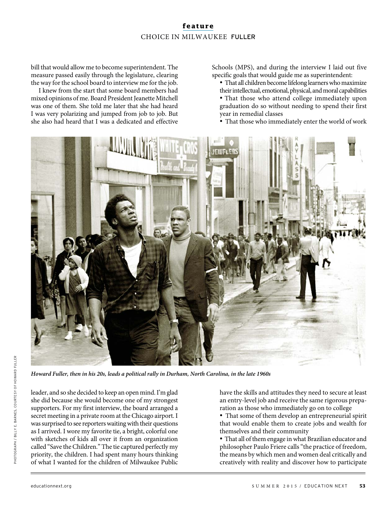## **feature** CHOICE IN MILWAUKEE FULLER

bill that would allow me to become superintendent. The measure passed easily through the legislature, clearing the way for the school board to interview me for the job.

I knew from the start that some board members had mixed opinions of me. Board President Jeanette Mitchell was one of them. She told me later that she had heard I was very polarizing and jumped from job to job. But she also had heard that I was a dedicated and effective

Schools (MPS), and during the interview I laid out five specific goals that would guide me as superintendent:

- · That all children become lifelong learners who maximize their intellectual, emotional, physical, and moral capabilities
- · That those who attend college immediately upon graduation do so without needing to spend their first year in remedial classes
- · That those who immediately enter the world of work



**Howard Fuller, then in his 20s, leads a political rally in Durham, North Carolina, in the late 1960s**

leader, and so she decided to keep an open mind. I'm glad she did because she would become one of my strongest supporters. For my first interview, the board arranged a secret meeting in a private room at the Chicago airport. I was surprised to see reporters waiting with their questions as I arrived. I wore my favorite tie, a bright, colorful one with sketches of kids all over it from an organization called "Save the Children." The tie captured perfectly my priority, the children. I had spent many hours thinking of what I wanted for the children of Milwaukee Public

have the skills and attitudes they need to secure at least an entry-level job and receive the same rigorous preparation as those who immediately go on to college

· That some of them develop an entrepreneurial spirit that would enable them to create jobs and wealth for themselves and their community

· That all of them engage in what Brazilian educator and philosopher Paulo Friere calls "the practice of freedom, the means by which men and women deal critically and creatively with reality and discover how to participate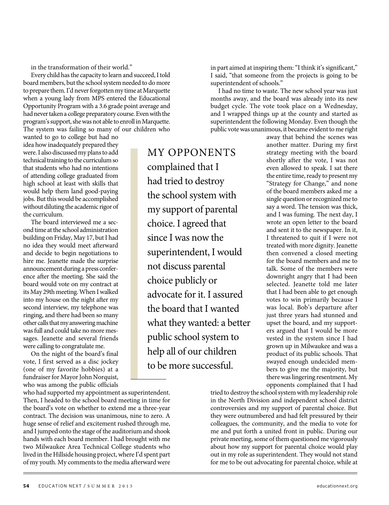in the transformation of their world."

Every child has the capacity to learn and succeed, I told board members, but the school system needed to do more to prepare them. I'd never forgotten my time at Marquette when a young lady from MPS entered the Educational Opportunity Program with a 3.6 grade point average and had never taken a college preparatory course. Even with the program's support, she was not able to enroll in Marquette. The system was failing so many of our children who

wanted to go to college but had no idea how inadequately prepared they were. I also discussed my plans to add technical training to the curriculum so that students who had no intentions of attending college graduated from high school at least with skills that would help them land good-paying jobs. But this would be accomplished without diluting the academic rigor of the curriculum.

The board interviewed me a second time at the school administration building on Friday, May 17, but I had no idea they would meet afterward and decide to begin negotiations to hire me. Jeanette made the surprise announcement during a press conference after the meeting. She said the board would vote on my contract at its May 29th meeting. When I walked into my house on the night after my second interview, my telephone was ringing, and there had been so many other calls that my answering machine was full and could take no more messages. Jeanette and several friends were calling to congratulate me.

On the night of the board's final vote, I first served as a disc jockey (one of my favorite hobbies) at a fundraiser for Mayor John Norquist, who was among the public officials

who had supported my appointment as superintendent. Then, I headed to the school board meeting in time for the board's vote on whether to extend me a three-year contract. The decision was unanimous, nine to zero. A huge sense of relief and excitement rushed through me, and I jumped onto the stage of the auditorium and shook hands with each board member. I had brought with me two Milwaukee Area Technical College students who lived in the Hillside housing project, where I'd spent part of my youth. My comments to the media afterward were

MY OPPONENTS complained that I had tried to destroy the school system with my support of parental choice. I agreed that since I was now the superintendent, I would not discuss parental choice publicly or advocate for it. I assured the board that I wanted what they wanted: a better public school system to help all of our children to be more successful.

in part aimed at inspiring them: "I think it's significant," I said, "that someone from the projects is going to be superintendent of schools."

I had no time to waste. The new school year was just months away, and the board was already into its new budget cycle. The vote took place on a Wednesday, and I wrapped things up at the county and started as superintendent the following Monday. Even though the public vote was unanimous, it became evident to me right

> away that behind the scenes was another matter. During my first strategy meeting with the board shortly after the vote, I was not even allowed to speak. I sat there the entire time, ready to present my "Strategy for Change," and none of the board members asked me a single question or recognized me to say a word. The tension was thick, and I was fuming. The next day, I wrote an open letter to the board and sent it to the newspaper. In it, I threatened to quit if I were not treated with more dignity. Jeanette then convened a closed meeting for the board members and me to talk. Some of the members were downright angry that I had been selected. Jeanette told me later that I had been able to get enough votes to win primarily because I was local. Bob's departure after just three years had stunned and upset the board, and my supporters argued that I would be more vested in the system since I had grown up in Milwaukee and was a product of its public schools. That swayed enough undecided members to give me the majority, but there was lingering resentment. My opponents complained that I had

tried to destroy the school system with my leadership role in the North Division and independent school district controversies and my support of parental choice. But they were outnumbered and had felt pressured by their colleagues, the community, and the media to vote for me and put forth a united front in public. During our private meeting, some of them questioned me vigorously about how my support for parental choice would play out in my role as superintendent. They would not stand for me to be out advocating for parental choice, while at